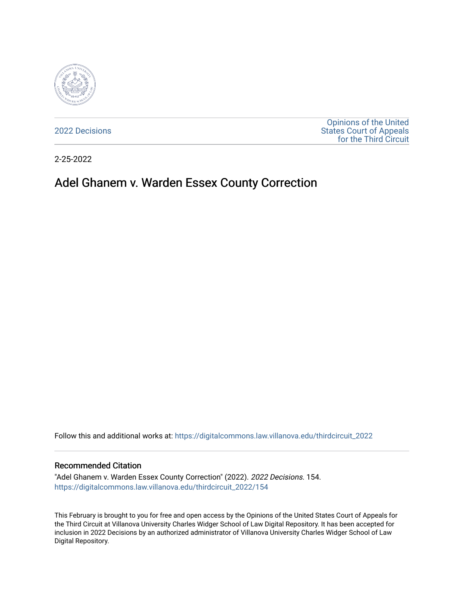

[2022 Decisions](https://digitalcommons.law.villanova.edu/thirdcircuit_2022)

[Opinions of the United](https://digitalcommons.law.villanova.edu/thirdcircuit)  [States Court of Appeals](https://digitalcommons.law.villanova.edu/thirdcircuit)  [for the Third Circuit](https://digitalcommons.law.villanova.edu/thirdcircuit) 

2-25-2022

# Adel Ghanem v. Warden Essex County Correction

Follow this and additional works at: [https://digitalcommons.law.villanova.edu/thirdcircuit\\_2022](https://digitalcommons.law.villanova.edu/thirdcircuit_2022?utm_source=digitalcommons.law.villanova.edu%2Fthirdcircuit_2022%2F154&utm_medium=PDF&utm_campaign=PDFCoverPages) 

#### Recommended Citation

"Adel Ghanem v. Warden Essex County Correction" (2022). 2022 Decisions. 154. [https://digitalcommons.law.villanova.edu/thirdcircuit\\_2022/154](https://digitalcommons.law.villanova.edu/thirdcircuit_2022/154?utm_source=digitalcommons.law.villanova.edu%2Fthirdcircuit_2022%2F154&utm_medium=PDF&utm_campaign=PDFCoverPages)

This February is brought to you for free and open access by the Opinions of the United States Court of Appeals for the Third Circuit at Villanova University Charles Widger School of Law Digital Repository. It has been accepted for inclusion in 2022 Decisions by an authorized administrator of Villanova University Charles Widger School of Law Digital Repository.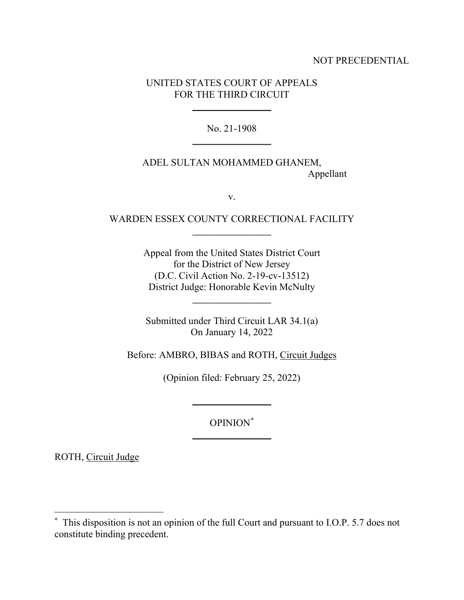## NOT PRECEDENTIAL

## UNITED STATES COURT OF APPEALS FOR THE THIRD CIRCUIT

 $\frac{1}{2}$ 

No. 21-1908 \_\_\_\_\_\_\_\_\_\_\_\_\_\_\_\_

ADEL SULTAN MOHAMMED GHANEM, Appellant

v.

# WARDEN ESSEX COUNTY CORRECTIONAL FACILITY \_\_\_\_\_\_\_\_\_\_\_\_\_\_\_\_

Appeal from the United States District Court for the District of New Jersey (D.C. Civil Action No. 2-19-cv-13512) District Judge: Honorable Kevin McNulty

\_\_\_\_\_\_\_\_\_\_\_\_\_\_\_\_

Submitted under Third Circuit LAR 34.1(a) On January 14, 2022

Before: AMBRO, BIBAS and ROTH, Circuit Judges

(Opinion filed: February 25, 2022)

\_\_\_\_\_\_\_\_\_\_\_\_\_\_\_\_

OPINION**[\\*](#page-1-0)**  $\frac{1}{2}$ 

ROTH, Circuit Judge

<span id="page-1-0"></span>**<sup>\*</sup>** This disposition is not an opinion of the full Court and pursuant to I.O.P. 5.7 does not constitute binding precedent.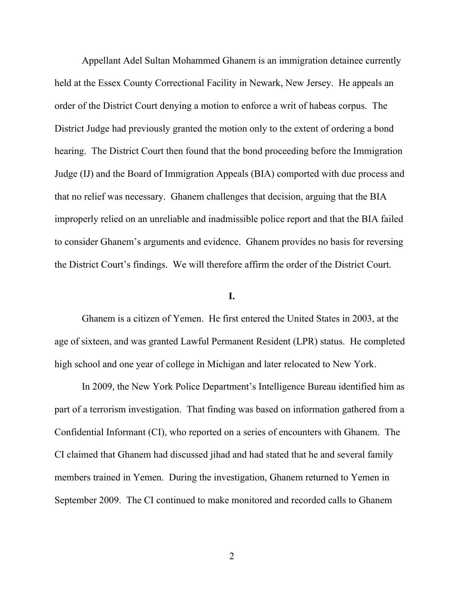Appellant Adel Sultan Mohammed Ghanem is an immigration detainee currently held at the Essex County Correctional Facility in Newark, New Jersey. He appeals an order of the District Court denying a motion to enforce a writ of habeas corpus. The District Judge had previously granted the motion only to the extent of ordering a bond hearing. The District Court then found that the bond proceeding before the Immigration Judge (IJ) and the Board of Immigration Appeals (BIA) comported with due process and that no relief was necessary. Ghanem challenges that decision, arguing that the BIA improperly relied on an unreliable and inadmissible police report and that the BIA failed to consider Ghanem's arguments and evidence. Ghanem provides no basis for reversing the District Court's findings. We will therefore affirm the order of the District Court.

## **I.**

Ghanem is a citizen of Yemen. He first entered the United States in 2003, at the age of sixteen, and was granted Lawful Permanent Resident (LPR) status. He completed high school and one year of college in Michigan and later relocated to New York.

In 2009, the New York Police Department's Intelligence Bureau identified him as part of a terrorism investigation. That finding was based on information gathered from a Confidential Informant (CI), who reported on a series of encounters with Ghanem. The CI claimed that Ghanem had discussed jihad and had stated that he and several family members trained in Yemen. During the investigation, Ghanem returned to Yemen in September 2009. The CI continued to make monitored and recorded calls to Ghanem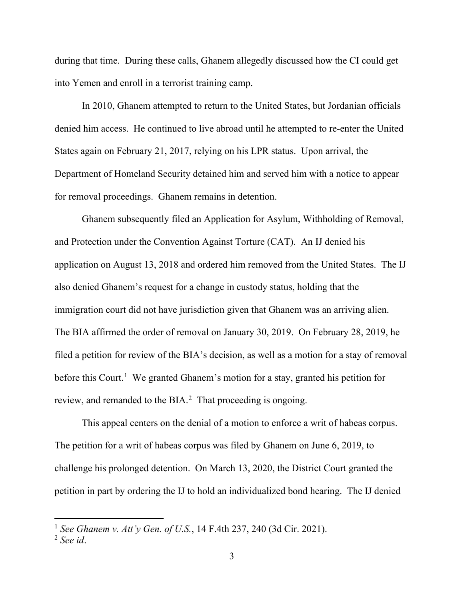during that time. During these calls, Ghanem allegedly discussed how the CI could get into Yemen and enroll in a terrorist training camp.

In 2010, Ghanem attempted to return to the United States, but Jordanian officials denied him access. He continued to live abroad until he attempted to re-enter the United States again on February 21, 2017, relying on his LPR status. Upon arrival, the Department of Homeland Security detained him and served him with a notice to appear for removal proceedings. Ghanem remains in detention.

Ghanem subsequently filed an Application for Asylum, Withholding of Removal, and Protection under the Convention Against Torture (CAT). An IJ denied his application on August 13, 2018 and ordered him removed from the United States. The IJ also denied Ghanem's request for a change in custody status, holding that the immigration court did not have jurisdiction given that Ghanem was an arriving alien. The BIA affirmed the order of removal on January 30, 2019. On February 28, 2019, he filed a petition for review of the BIA's decision, as well as a motion for a stay of removal before this Court.<sup>[1](#page-3-0)</sup> We granted Ghanem's motion for a stay, granted his petition for review, and remanded to the BIA.<sup>[2](#page-3-1)</sup> That proceeding is ongoing.

This appeal centers on the denial of a motion to enforce a writ of habeas corpus. The petition for a writ of habeas corpus was filed by Ghanem on June 6, 2019, to challenge his prolonged detention. On March 13, 2020, the District Court granted the petition in part by ordering the IJ to hold an individualized bond hearing. The IJ denied

<span id="page-3-0"></span><sup>1</sup> *See Ghanem v. Att'y Gen. of U.S.*, 14 F.4th 237, 240 (3d Cir. 2021).

<span id="page-3-1"></span><sup>2</sup> *See id*.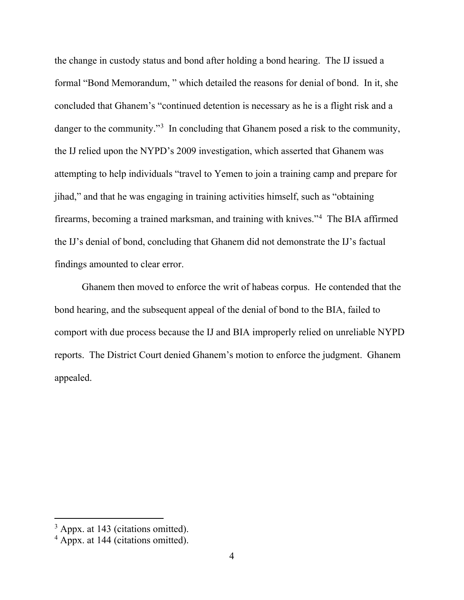the change in custody status and bond after holding a bond hearing. The IJ issued a formal "Bond Memorandum, " which detailed the reasons for denial of bond. In it, she concluded that Ghanem's "continued detention is necessary as he is a flight risk and a danger to the community."<sup>[3](#page-4-0)</sup> In concluding that Ghanem posed a risk to the community, the IJ relied upon the NYPD's 2009 investigation, which asserted that Ghanem was attempting to help individuals "travel to Yemen to join a training camp and prepare for jihad," and that he was engaging in training activities himself, such as "obtaining firearms, becoming a trained marksman, and training with knives."[4](#page-4-1) The BIA affirmed the IJ's denial of bond, concluding that Ghanem did not demonstrate the IJ's factual findings amounted to clear error.

Ghanem then moved to enforce the writ of habeas corpus. He contended that the bond hearing, and the subsequent appeal of the denial of bond to the BIA, failed to comport with due process because the IJ and BIA improperly relied on unreliable NYPD reports. The District Court denied Ghanem's motion to enforce the judgment. Ghanem appealed.

<span id="page-4-0"></span><sup>&</sup>lt;sup>3</sup> Appx. at 143 (citations omitted).

<span id="page-4-1"></span><sup>4</sup> Appx. at 144 (citations omitted).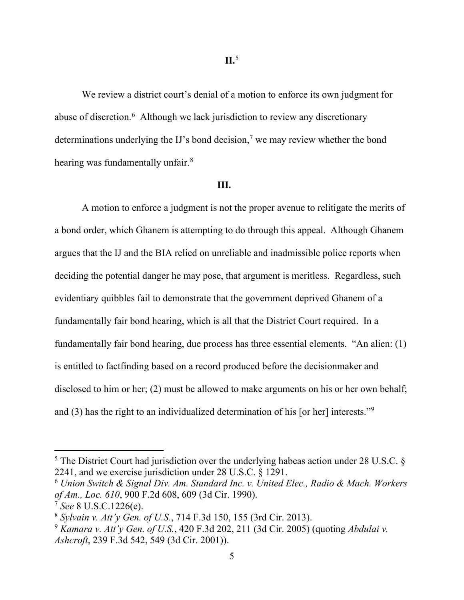We review a district court's denial of a motion to enforce its own judgment for abuse of discretion.<sup>[6](#page-5-1)</sup> Although we lack jurisdiction to review any discretionary determinations underlying the IJ's bond decision,<sup>[7](#page-5-2)</sup> we may review whether the bond hearing was fundamentally unfair.<sup>[8](#page-5-3)</sup>

### **III. III.**

A motion to enforce a judgment is not the proper avenue to relitigate the merits of a bond order, which Ghanem is attempting to do through this appeal. Although Ghanem argues that the IJ and the BIA relied on unreliable and inadmissible police reports when deciding the potential danger he may pose, that argument is meritless. Regardless, such evidentiary quibbles fail to demonstrate that the government deprived Ghanem of a fundamentally fair bond hearing, which is all that the District Court required. In a fundamentally fair bond hearing, due process has three essential elements. "An alien: (1) is entitled to factfinding based on a record produced before the decisionmaker and disclosed to him or her; (2) must be allowed to make arguments on his or her own behalf; and (3) has the right to an individualized determination of his [or her] interests."[9](#page-5-4)

<span id="page-5-0"></span> $5$  The District Court had jurisdiction over the underlying habeas action under 28 U.S.C.  $\S$ 2241, and we exercise jurisdiction under 28 U.S.C. § 1291.

<span id="page-5-1"></span><sup>6</sup> *Union Switch & Signal Div. Am. Standard Inc. v. United Elec., Radio & Mach. Workers of Am., Loc. 610*, 900 F.2d 608, 609 (3d Cir. 1990).

<span id="page-5-2"></span><sup>7</sup> *See* 8 U.S.C.1226(e).

<span id="page-5-3"></span><sup>8</sup> *Sylvain v. Att'y Gen. of U.S.*, 714 F.3d 150, 155 (3rd Cir. 2013).

<span id="page-5-4"></span><sup>9</sup> *Kamara v. Att'y Gen. of U.S.*, 420 F.3d 202, 211 (3d Cir. 2005) (quoting *Abdulai v. Ashcroft*, 239 F.3d 542, 549 (3d Cir. 2001)).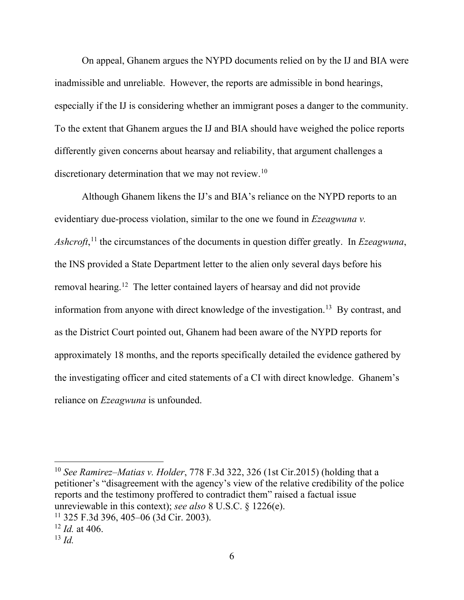On appeal, Ghanem argues the NYPD documents relied on by the IJ and BIA were inadmissible and unreliable. However, the reports are admissible in bond hearings, especially if the IJ is considering whether an immigrant poses a danger to the community. To the extent that Ghanem argues the IJ and BIA should have weighed the police reports differently given concerns about hearsay and reliability, that argument challenges a discretionary determination that we may not review.<sup>10</sup>

Although Ghanem likens the IJ's and BIA's reliance on the NYPD reports to an evidentiary due-process violation, similar to the one we found in *Ezeagwuna v. Ashcroft*, [11](#page-6-1) the circumstances of the documents in question differ greatly. In *Ezeagwuna*, the INS provided a State Department letter to the alien only several days before his removal hearing.<sup>[12](#page-6-2)</sup> The letter contained layers of hearsay and did not provide information from anyone with direct knowledge of the investigation.<sup>[13](#page-6-3)</sup> By contrast, and as the District Court pointed out, Ghanem had been aware of the NYPD reports for approximately 18 months, and the reports specifically detailed the evidence gathered by the investigating officer and cited statements of a CI with direct knowledge. Ghanem's reliance on *Ezeagwuna* is unfounded.

<span id="page-6-0"></span><sup>10</sup> *See Ramirez–Matias v. Holder*, 778 F.3d 322, 326 (1st Cir.2015) (holding that a petitioner's "disagreement with the agency's view of the relative credibility of the police reports and the testimony proffered to contradict them" raised a factual issue unreviewable in this context); *see also* 8 U.S.C. § 1226(e).

<span id="page-6-1"></span><sup>11</sup> 325 F.3d 396, 405–06 (3d Cir. 2003).

<span id="page-6-2"></span><sup>12</sup> *Id.* at 406.

<span id="page-6-3"></span><sup>13</sup> *Id.*